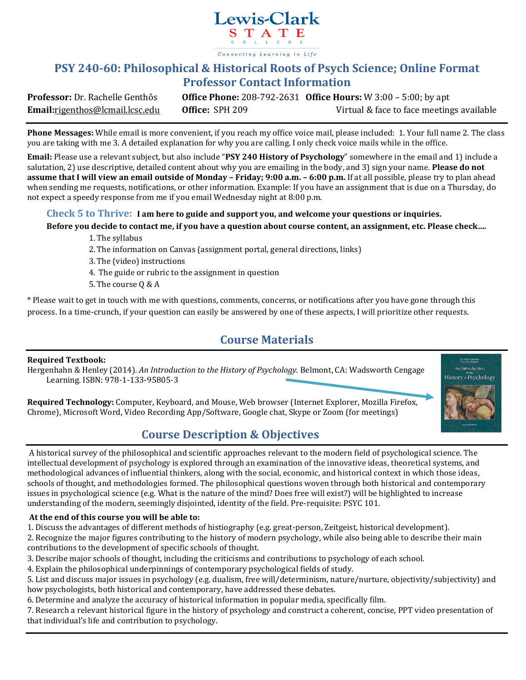

### **PSY 240-60: Philosophical & Historical Roots of Psych Science; Online Format Professor Contact Information**

**Professor:** Dr. Rachelle Genthôs **Office Phone:** 208-792-2631 **Office Hours:** W 3:00 – 5:00; by apt **Email:**rigenthos@lcmail.lcsc.edu **Office:** SPH 209 Virtual & face to face meetings available

**Phone Messages:** While email is more convenient, if you reach my office voice mail, please included: 1. Your full name 2. The class you are taking with me 3. A detailed explanation for why you are calling. I only check voice mails while in the office.

**Email:** Please use a relevant subject, but also include "**PSY 240 History of Psychology**" somewhere in the email and 1) include a salutation, 2) use descriptive, detailed content about why you are emailing in the body, and 3) sign your name. **Please do not assume that I will view an email outside of Monday – Friday; 9:00 a.m. – 6:00 p.m.** If at all possible, please try to plan ahead when sending me requests, notifications, or other information. Example: If you have an assignment that is due on a Thursday, do not expect a speedy response from me if you email Wednesday night at 8:00 p.m.

#### **Check 5 to Thrive: I am here to guide and support you, and welcome your questions or inquiries.**

#### **Before you decide to contact me, if you have a question about course content, an assignment, etc. Please check….**

- 1.The syllabus
- 2.The information on Canvas (assignment portal, general directions, links)
- 3.The (video) instructions
- 4. The guide or rubric to the assignment in question
- 5.The course Q & A

\* Please wait to get in touch with me with questions, comments, concerns, or notifications after you have gone through this process. In a time-crunch, if your question can easily be answered by one of these aspects, I will prioritize other requests.

### **Course Materials**

#### **Required Textbook:**

Hergenhahn & Henley (2014). *An Introduction to the History of Psychology.* Belmont, CA: Wadsworth Cengage Learning. ISBN: 978-1-133-95805-3

**B. R. HERGENHAH** An Introduction History Psychology

**Required Technology:** Computer, Keyboard, and Mouse, Web browser (Internet Explorer, Mozilla Firefox, Chrome), Microsoft Word, Video Recording App/Software, Google chat, Skype or Zoom (for meetings)

### **Course Description & Objectives**

A historical survey of the philosophical and scientific approaches relevant to the modern field of psychological science. The intellectual development of psychology is explored through an examination of the innovative ideas, theoretical systems, and methodological advances of influential thinkers, along with the social, economic, and historical context in which those ideas, schools of thought, and methodologies formed. The philosophical questions woven through both historical and contemporary issues in psychological science (e.g. What is the nature of the mind? Does free will exist?) will be highlighted to increase understanding of the modern, seemingly disjointed, identity of the field. Pre-requisite: PSYC 101.

### **At the end of this course you will be able to:**

1. Discuss the advantages of different methods of histiography (e.g. great-person, Zeitgeist, historical development).

2. Recognize the major figures contributing to the history of modern psychology, while also being able to describe their main contributions to the development of specific schools of thought.

3. Describe major schools of thought, including the criticisms and contributions to psychology of each school.

4. Explain the philosophical underpinnings of contemporary psychological fields of study.

5. List and discuss major issues in psychology (e.g. dualism, free will/determinism, nature/nurture, objectivity/subjectivity) and how psychologists, both historical and contemporary, have addressed these debates.

6. Determine and analyze the accuracy of historical information in popular media, specifically film.

7. Research a relevant historical figure in the history of psychology and construct a coherent, concise, PPT video presentation of that individual's life and contribution to psychology.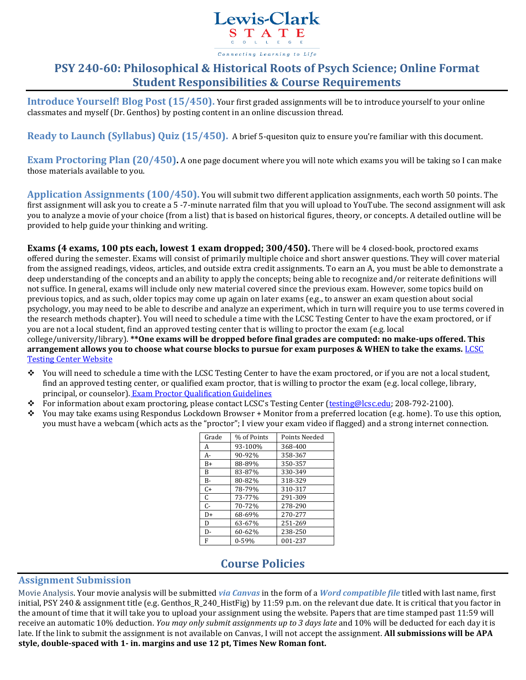

# **PSY 240-60: Philosophical & Historical Roots of Psych Science; Online Format Student Responsibilities & Course Requirements**

**Introduce Yourself! Blog Post (15/450).** Your first graded assignments will be to introduce yourself to your online classmates and myself (Dr. Genthos) by posting content in an online discussion thread.

**Ready to Launch (Syllabus) Quiz (15/450).** A brief 5-quesiton quiz to ensure you're familiar with this document.

**Exam Proctoring Plan (20/450).** A one page document where you will note which exams you will be taking so I can make those materials available to you.

**Application Assignments (100/450).** You will submit two different application assignments, each worth 50 points. The first assignment will ask you to create a 5 -7-minute narrated film that you will upload to YouTube. The second assignment will ask you to analyze a movie of your choice (from a list) that is based on historical figures, theory, or concepts. A detailed outline will be provided to help guide your thinking and writing.

**Exams (4 exams, 100 pts each, lowest 1 exam dropped; 300/450).** There will be 4 closed-book, proctored exams offered during the semester. Exams will consist of primarily multiple choice and short answer questions. They will cover material from the assigned readings, videos, articles, and outside extra credit assignments. To earn an A, you must be able to demonstrate a deep understanding of the concepts and an ability to apply the concepts; being able to recognize and/or reiterate definitions will not suffice. In general, exams will include only new material covered since the previous exam. However, some topics build on previous topics, and as such, older topics may come up again on later exams (e.g., to answer an exam question about social psychology, you may need to be able to describe and analyze an experiment, which in turn will require you to use terms covered in the research methods chapter). You will need to schedule a time with the LCSC Testing Center to have the exam proctored, or if you are not a local student, find an approved testing center that is willing to proctor the exam (e.g. local college/university/library). **\*\*One exams will be dropped before final grades are computed: no make-ups offered. This arrangement allows you to choose what course blocks to pursue for exam purposes & WHEN to take the exams.** [LCSC](http://www.lcsc.edu/testing-center/) 

[Testing Center Website](http://www.lcsc.edu/testing-center/)

- You will need to schedule a time with the LCSC Testing Center to have the exam proctored, or if you are not a local student, find an approved testing center, or qualified exam proctor, that is willing to proctor the exam (e.g. local college, library, principal, or counselor). [Exam Proctor Qualification Guidelines](http://www.lcsc.edu/testing-center/lcsc-students/proctor-qualifications/)
- For information about exam proctoring, please contact LCSC's Testing Center ([testing@lcsc.edu;](mailto:testing@lcsc.edu) 208-792-2100).
- You may take exams using Respondus Lockdown Browser + Monitor from a preferred location (e.g. home). To use this option, you must have a webcam (which acts as the "proctor"; I view your exam video if flagged) and a strong internet connection.

| Grade | % of Points | Points Needed |
|-------|-------------|---------------|
| A     | 93-100%     | 368-400       |
| A-    | 90-92%      | 358-367       |
| $B+$  | 88-89%      | 350-357       |
| B     | 83-87%      | 330-349       |
| $B -$ | 80-82%      | 318-329       |
| $C+$  | 78-79%      | 310-317       |
| C     | 73-77%      | 291-309       |
| $C -$ | 70-72%      | 278-290       |
| $D+$  | 68-69%      | 270-277       |
| D     | 63-67%      | 251-269       |
| D-    | 60-62%      | 238-250       |
| F     | $0 - 59%$   | 001-237       |

### **Course Policies**

### **Assignment Submission**

Movie Analysis. Your movie analysis will be submitted *via Canvas* in the form of a *Word compatible file* titled with last name, first initial, PSY 240 & assignment title (e.g. Genthos\_R\_240\_HistFig) by 11:59 p.m. on the relevant due date. It is critical that you factor in the amount of time that it will take you to upload your assignment using the website. Papers that are time stamped past 11:59 will receive an automatic 10% deduction. *You may only submit assignments up to 3 days late* and 10% will be deducted for each day it is late. If the link to submit the assignment is not available on Canvas, I will not accept the assignment. **All submissions will be APA style, double-spaced with 1- in. margins and use 12 pt, Times New Roman font.**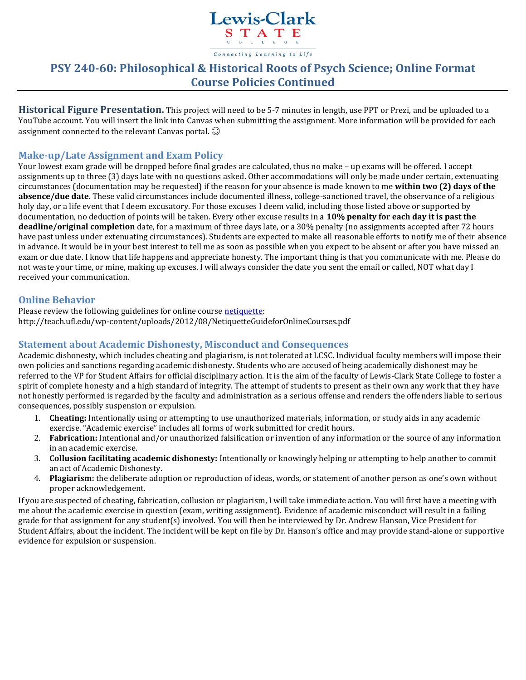

# **PSY 240-60: Philosophical & Historical Roots of Psych Science; Online Format Course Policies Continued**

**Historical Figure Presentation.** This project will need to be 5-7 minutes in length, use PPT or Prezi, and be uploaded to a YouTube account. You will insert the link into Canvas when submitting the assignment. More information will be provided for each assignment connected to the relevant Canvas portal.  $\odot$ 

### **Make-up/Late Assignment and Exam Policy**

Your lowest exam grade will be dropped before final grades are calculated, thus no make – up exams will be offered. I accept assignments up to three (3) days late with no questions asked. Other accommodations will only be made under certain, extenuating circumstances (documentation may be requested) if the reason for your absence is made known to me **within two (2) days of the absence/due date**. These valid circumstances include documented illness, college-sanctioned travel, the observance of a religious holy day, or a life event that I deem excusatory. For those excuses I deem valid, including those listed above or supported by documentation, no deduction of points will be taken. Every other excuse results in a **10% penalty for each day it is past the deadline/original completion** date, for a maximum of three days late, or a 30% penalty (no assignments accepted after 72 hours have past unless under extenuating circumstances). Students are expected to make all reasonable efforts to notify me of their absence in advance. It would be in your best interest to tell me as soon as possible when you expect to be absent or after you have missed an exam or due date. I know that life happens and appreciate honesty. The important thing is that you communicate with me. Please do not waste your time, or mine, making up excuses. I will always consider the date you sent the email or called, NOT what day I received your communication.

### **Online Behavior**

Please review the following guidelines for online cours[e netiquette:](http://teach.ufl.edu/wp-content/uploads/2012/08/NetiquetteGuideforOnlineCourses.pdf) http://teach.ufl.edu/wp-content/uploads/2012/08/NetiquetteGuideforOnlineCourses.pdf

### **Statement about Academic Dishonesty, Misconduct and Consequences**

Academic dishonesty, which includes cheating and plagiarism, is not tolerated at LCSC. Individual faculty members will impose their own policies and sanctions regarding academic dishonesty. Students who are accused of being academically dishonest may be referred to the VP for Student Affairs for official disciplinary action. It is the aim of the faculty of Lewis-Clark State College to foster a spirit of complete honesty and a high standard of integrity. The attempt of students to present as their own any work that they have not honestly performed is regarded by the faculty and administration as a serious offense and renders the offenders liable to serious consequences, possibly suspension or expulsion.

- 1. **Cheating:** Intentionally using or attempting to use unauthorized materials, information, or study aids in any academic exercise. "Academic exercise" includes all forms of work submitted for credit hours.
- 2. **Fabrication:** Intentional and/or unauthorized falsification or invention of any information or the source of any information in an academic exercise.
- 3. **Collusion facilitating academic dishonesty:** Intentionally or knowingly helping or attempting to help another to commit an act of Academic Dishonesty.
- 4. **Plagiarism:** the deliberate adoption or reproduction of ideas, words, or statement of another person as one's own without proper acknowledgement.

If you are suspected of cheating, fabrication, collusion or plagiarism, I will take immediate action. You will first have a meeting with me about the academic exercise in question (exam, writing assignment). Evidence of academic misconduct will result in a failing grade for that assignment for any student(s) involved. You will then be interviewed by Dr. Andrew Hanson, Vice President for Student Affairs, about the incident. The incident will be kept on file by Dr. Hanson's office and may provide stand-alone or supportive evidence for expulsion or suspension.